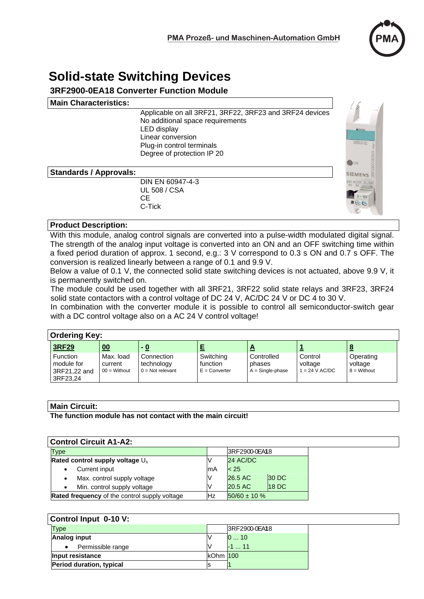

# **Solid-state Switching Devices**

# **3RF2900-0EA18 Converter Function Module**

#### **Main Characteristics:**

Applicable on all 3RF21, 3RF22, 3RF23 and 3RF24 devices No additional space requirements LED display Linear conversion Plug-in control terminals Degree of protection IP 20

#### **Standards / Approvals:**

 DIN EN 60947-4-3 UL 508 / CSA **CE CE CE** C-Tick



#### **Product Description:**

With this module, analog control signals are converted into a pulse-width modulated digital signal. The strength of the analog input voltage is converted into an ON and an OFF switching time within a fixed period duration of approx. 1 second, e.g.: 3 V correspond to 0.3 s ON and 0.7 s OFF. The conversion is realized linearly between a range of 0.1 and 9.9 V.

Below a value of 0.1 V, the connected solid state switching devices is not actuated, above 9.9 V, it is permanently switched on.

The module could be used together with all 3RF21, 3RF22 solid state relays and 3RF23, 3RF24 solid state contactors with a control voltage of DC 24 V, AC/DC 24 V or DC 4 to 30 V.

In combination with the converter module it is possible to control all semiconductor-switch gear with a DC control voltage also on a AC 24 V control voltage!

| <b>Ordering Key:</b> |                                                           |                                               |                                                |                                          |                                            |                                        |                                       |
|----------------------|-----------------------------------------------------------|-----------------------------------------------|------------------------------------------------|------------------------------------------|--------------------------------------------|----------------------------------------|---------------------------------------|
|                      | <b>3RF29</b>                                              | 00                                            | - 0                                            |                                          |                                            |                                        |                                       |
|                      | <b>Function</b><br>module for<br>3RF21,22 and<br>3RF23.24 | Max. load<br>current<br>$00 = \text{Without}$ | Connection<br>technology<br>$0 = Not$ relevant | Switching<br>function<br>$E =$ Converter | Controlled<br>phases<br>$A =$ Single-phase | Control<br>voltage<br>$1 = 24$ V AC/DC | Operating<br>voltage<br>$8 =$ Without |

#### **Main Circuit:**

**The function module has not contact with the main circuit!** 

| <b>Control Circuit A1-A2:</b>                              |                                                      |    |                   |              |  |  |
|------------------------------------------------------------|------------------------------------------------------|----|-------------------|--------------|--|--|
| <b>Type</b><br>Rated control supply voltage U <sub>s</sub> |                                                      |    | 3RF2900-0EA18     |              |  |  |
|                                                            |                                                      |    | 24 AC/DC          |              |  |  |
|                                                            | Current input                                        | mА | < 25              |              |  |  |
|                                                            | Max. control supply voltage<br>٠                     |    | 26.5 AC           | <b>30 DC</b> |  |  |
|                                                            | Min. control supply voltage                          |    | 20.5 AC           | <b>18 DC</b> |  |  |
|                                                            | <b>Rated frequency</b> of the control supply voltage | Hz | $50/60 \pm 10 \%$ |              |  |  |

| Control Input 0-10 V:    |          |               |  |  |  |
|--------------------------|----------|---------------|--|--|--|
| <b>Type</b>              |          | 3RF2900-0EA18 |  |  |  |
| <b>Analog input</b>      |          | 010           |  |  |  |
| Permissible range        |          | $-1$ 11       |  |  |  |
| Input resistance         | kOhm 100 |               |  |  |  |
| Period duration, typical |          |               |  |  |  |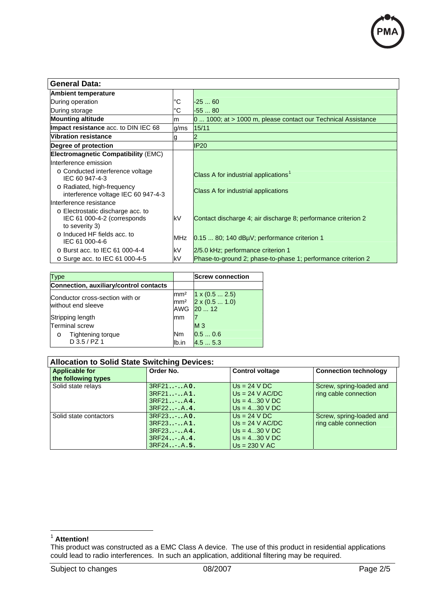

| <b>General Data:</b>                                                               |            |                                                               |  |  |  |
|------------------------------------------------------------------------------------|------------|---------------------------------------------------------------|--|--|--|
| <b>Ambient temperature</b>                                                         |            |                                                               |  |  |  |
| During operation                                                                   |            | $-2560$                                                       |  |  |  |
| During storage                                                                     | ١°С        | $-5580$                                                       |  |  |  |
| <b>Mounting altitude</b>                                                           |            | 0  1000; at > 1000 m, please contact our Technical Assistance |  |  |  |
| Impact resistance acc. to DIN IEC 68                                               |            | 15/11                                                         |  |  |  |
| <b>Vibration resistance</b>                                                        |            |                                                               |  |  |  |
| Degree of protection                                                               |            | <b>IP20</b>                                                   |  |  |  |
| <b>Electromagnetic Compatibility (EMC)</b>                                         |            |                                                               |  |  |  |
| Interference emission                                                              |            |                                                               |  |  |  |
| ○ Conducted interference voltage<br>IEC 60 947-4-3                                 |            | Class A for industrial applications <sup>1</sup>              |  |  |  |
| o Radiated, high-frequency<br>interference voltage IEC 60 947-4-3                  |            | Class A for industrial applications                           |  |  |  |
| Interference resistance                                                            |            |                                                               |  |  |  |
| o Electrostatic discharge acc. to<br>IEC 61 000-4-2 (corresponds<br>to severity 3) | <b>kV</b>  | Contact discharge 4; air discharge 8; performance criterion 2 |  |  |  |
| o Induced HF fields acc. to<br>IEC 61 000-4-6                                      | <b>MHz</b> | 0.15  80; 140 dBµV; performance criterion 1                   |  |  |  |
| $\circ$ Burst acc. to IEC 61 000-4-4                                               | kV         | 2/5.0 kHz; performance criterion 1                            |  |  |  |
| o Surge acc. to IEC 61 000-4-5                                                     | kV         | Phase-to-ground 2; phase-to-phase 1; performance criterion 2  |  |  |  |

| Type                                                  |       | <b>Screw connection</b>                                             |
|-------------------------------------------------------|-------|---------------------------------------------------------------------|
| Connection, auxiliary/control contacts                |       |                                                                     |
| Conductor cross-section with or<br>without end sleeve |       | $1 \times (0.5  2.5)$<br>$\text{mm}^2$ 2 x (0.5  1.0)<br>AWG 20  12 |
| Stripping length                                      |       |                                                                     |
| <b>Terminal screw</b>                                 |       | M <sub>3</sub>                                                      |
| Tightening torque<br>$\circ$                          | Nm    | 0.50.6                                                              |
| $D$ 3.5 / PZ 1                                        | lb.in | 4.55.3                                                              |

| <b>Allocation to Solid State Switching Devices:</b> |                                                                      |                                                                                             |                                                   |  |  |  |
|-----------------------------------------------------|----------------------------------------------------------------------|---------------------------------------------------------------------------------------------|---------------------------------------------------|--|--|--|
| <b>Applicable for</b><br>the following types        | Order No.                                                            | <b>Control voltage</b>                                                                      | <b>Connection technology</b>                      |  |  |  |
| Solid state relays                                  | 3RF21A0.<br>3RF21A1.<br>$3RF21-.A4.$<br>$3RF22$ $A.4.$               | $Us = 24 VDC$<br>$Us = 24 V AC/DC$<br>$Us = 430$ V DC<br>$Us = 430 V DC$                    | Screw, spring-loaded and<br>ring cable connection |  |  |  |
| Solid state contactors                              | 3RF23A0.<br>3RF23A1.<br>3RF23A4.<br>$3RF24$ $A.4.$<br>$3RF24$ $A.5.$ | $Us = 24 VDC$<br>$Us = 24 V AC/DC$<br>$Us = 430 V DC$<br>$Us = 430 V DC$<br>$Us = 230 V AC$ | Screw, spring-loaded and<br>ring cable connection |  |  |  |

<sup>1</sup> **Attention!** 

 $\overline{a}$ 

This product was constructed as a EMC Class A device. The use of this product in residential applications could lead to radio interferences. In such an application, additional filtering may be required.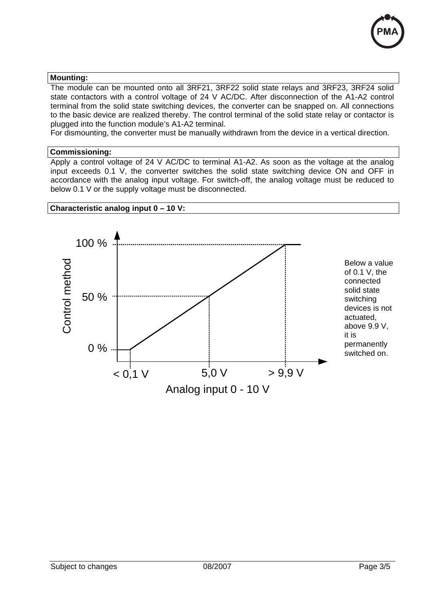

#### **Mounting:**

The module can be mounted onto all 3RF21, 3RF22 solid state relays and 3RF23, 3RF24 solid state contactors with a control voltage of 24 V AC/DC. After disconnection of the A1-A2 control terminal from the solid state switching devices, the converter can be snapped on. All connections to the basic device are realized thereby. The control terminal of the solid state relay or contactor is plugged into the function module's A1-A2 terminal.

For dismounting, the converter must be manually withdrawn from the device in a vertical direction.

#### **Commissioning:**

Apply a control voltage of 24 V AC/DC to terminal A1-A2. As soon as the voltage at the analog input exceeds 0.1 V, the converter switches the solid state switching device ON and OFF in accordance with the analog input voltage. For switch-off, the analog voltage must be reduced to below 0.1 V or the supply voltage must be disconnected.

## **Characteristic analog input 0 – 10 V:**

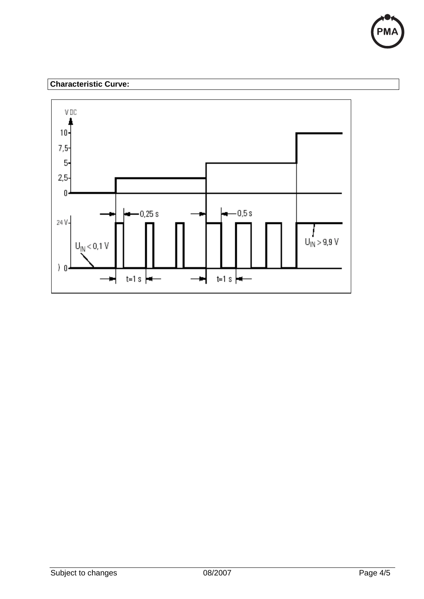

# **Characteristic Curve:**

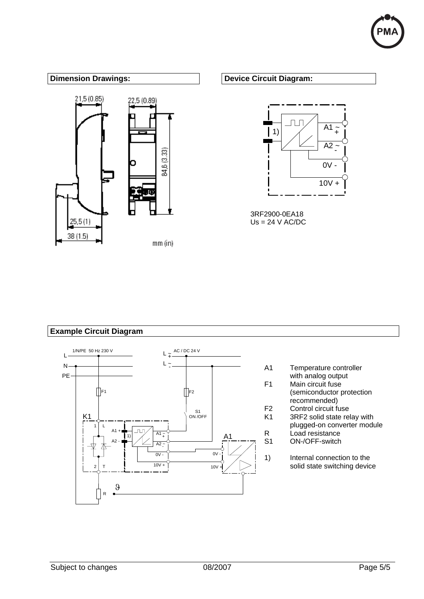



### **Example Circuit Diagram**



- A1 Temperature controller with analog output F1 Main circuit fuse (semiconductor protection recommended) F2 Control circuit fuse<br>K1 3RF2 solid state re 3RF2 solid state relay with plugged-on converter module R Load resistance S1 ON-/OFF-switch
- 1) Internal connection to the solid state switching device